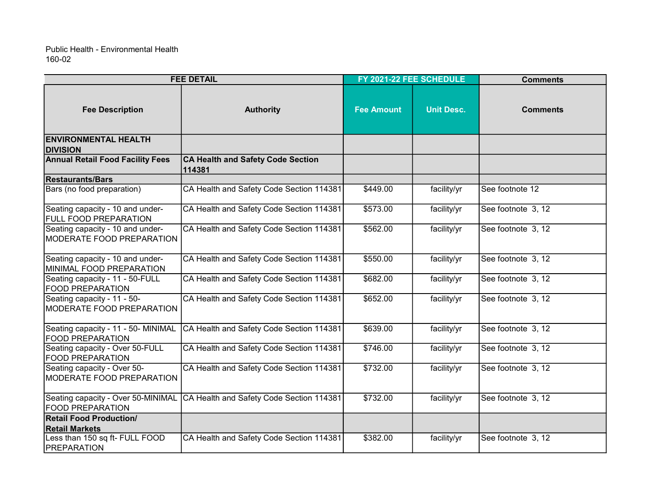| <b>FEE DETAIL</b>                                                    |                                                                             | FY 2021-22 FEE SCHEDULE |                   | <b>Comments</b>    |
|----------------------------------------------------------------------|-----------------------------------------------------------------------------|-------------------------|-------------------|--------------------|
| <b>Fee Description</b>                                               | <b>Authority</b>                                                            | <b>Fee Amount</b>       | <b>Unit Desc.</b> | <b>Comments</b>    |
| <b>ENVIRONMENTAL HEALTH</b><br><b>DIVISION</b>                       |                                                                             |                         |                   |                    |
| <b>Annual Retail Food Facility Fees</b>                              | <b>CA Health and Safety Code Section</b><br>114381                          |                         |                   |                    |
| <b>Restaurants/Bars</b>                                              |                                                                             |                         |                   |                    |
| Bars (no food preparation)                                           | CA Health and Safety Code Section 114381                                    | \$449.00                | facility/yr       | See footnote 12    |
| Seating capacity - 10 and under-<br><b>FULL FOOD PREPARATION</b>     | CA Health and Safety Code Section 114381                                    | \$573.00                | facility/yr       | See footnote 3, 12 |
| Seating capacity - 10 and under-<br><b>MODERATE FOOD PREPARATION</b> | CA Health and Safety Code Section 114381                                    | \$562.00                | facility/yr       | See footnote 3, 12 |
| Seating capacity - 10 and under-<br>MINIMAL FOOD PREPARATION         | CA Health and Safety Code Section 114381                                    | \$550.00                | facility/yr       | See footnote 3, 12 |
| Seating capacity - 11 - 50-FULL<br><b>FOOD PREPARATION</b>           | CA Health and Safety Code Section 114381                                    | \$682.00                | facility/yr       | See footnote 3, 12 |
| Seating capacity - 11 - 50-<br>MODERATE FOOD PREPARATION             | CA Health and Safety Code Section 114381                                    | \$652.00                | facility/yr       | See footnote 3, 12 |
| Seating capacity - 11 - 50- MINIMAL<br><b>FOOD PREPARATION</b>       | CA Health and Safety Code Section 114381                                    | \$639.00                | facility/yr       | See footnote 3, 12 |
| Seating capacity - Over 50-FULL<br><b>FOOD PREPARATION</b>           | CA Health and Safety Code Section 114381                                    | \$746.00                | facility/yr       | See footnote 3, 12 |
| Seating capacity - Over 50-<br><b>MODERATE FOOD PREPARATION</b>      | CA Health and Safety Code Section 114381                                    | \$732.00                | facility/yr       | See footnote 3, 12 |
| <b>FOOD PREPARATION</b>                                              | Seating capacity - Over 50-MINIMAL CA Health and Safety Code Section 114381 | \$732.00                | facility/yr       | See footnote 3, 12 |
| <b>Retail Food Production/</b>                                       |                                                                             |                         |                   |                    |
| <b>Retail Markets</b>                                                |                                                                             |                         |                   |                    |
| Less than 150 sq ft- FULL FOOD<br><b>PREPARATION</b>                 | CA Health and Safety Code Section 114381                                    | \$382.00                | facility/yr       | See footnote 3, 12 |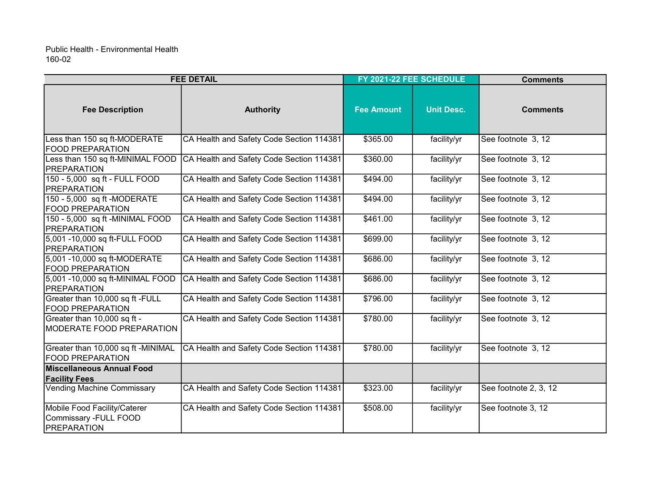| <b>FEE DETAIL</b>                                                           |                                          | FY 2021-22 FEE SCHEDULE |                   | <b>Comments</b>       |  |
|-----------------------------------------------------------------------------|------------------------------------------|-------------------------|-------------------|-----------------------|--|
| <b>Fee Description</b>                                                      | <b>Authority</b>                         | <b>Fee Amount</b>       | <b>Unit Desc.</b> | <b>Comments</b>       |  |
| Less than 150 sq ft-MODERATE<br><b>FOOD PREPARATION</b>                     | CA Health and Safety Code Section 114381 | \$365.00                | facility/yr       | See footnote 3, 12    |  |
| Less than 150 sq ft-MINIMAL FOOD<br><b>PREPARATION</b>                      | CA Health and Safety Code Section 114381 | \$360.00                | facility/yr       | See footnote 3, 12    |  |
| 150 - 5,000 sq ft - FULL FOOD<br><b>PREPARATION</b>                         | CA Health and Safety Code Section 114381 | \$494.00                | facility/yr       | See footnote 3, 12    |  |
| 150 - 5,000 sq ft -MODERATE<br><b>FOOD PREPARATION</b>                      | CA Health and Safety Code Section 114381 | \$494.00                | facility/yr       | See footnote 3, 12    |  |
| 150 - 5,000 sq ft -MINIMAL FOOD<br><b> PREPARATION</b>                      | CA Health and Safety Code Section 114381 | \$461.00                | facility/yr       | See footnote 3, 12    |  |
| 5,001 -10,000 sq ft-FULL FOOD<br><b>PREPARATION</b>                         | CA Health and Safety Code Section 114381 | \$699.00                | facility/yr       | See footnote 3, 12    |  |
| 5,001 -10,000 sq ft-MODERATE<br><b>FOOD PREPARATION</b>                     | CA Health and Safety Code Section 114381 | \$686.00                | facility/yr       | See footnote 3, 12    |  |
| 5,001 -10,000 sq ft-MINIMAL FOOD<br><b>PREPARATION</b>                      | CA Health and Safety Code Section 114381 | \$686.00                | facility/yr       | See footnote 3, 12    |  |
| Greater than 10,000 sq ft -FULL<br><b>FOOD PREPARATION</b>                  | CA Health and Safety Code Section 114381 | \$796.00                | facility/yr       | See footnote 3, 12    |  |
| Greater than 10,000 sq ft -<br>IMODERATE FOOD PREPARATION                   | CA Health and Safety Code Section 114381 | \$780.00                | facility/yr       | See footnote 3, 12    |  |
| Greater than 10,000 sq ft -MINIMAL<br><b>FOOD PREPARATION</b>               | CA Health and Safety Code Section 114381 | \$780.00                | facility/yr       | See footnote 3, 12    |  |
| <b>Miscellaneous Annual Food</b>                                            |                                          |                         |                   |                       |  |
| <b>Facility Fees</b><br>Vending Machine Commissary                          | CA Health and Safety Code Section 114381 | \$323.00                | facility/yr       | See footnote 2, 3, 12 |  |
| Mobile Food Facility/Caterer<br>Commissary -FULL FOOD<br><b>PREPARATION</b> | CA Health and Safety Code Section 114381 | \$508.00                | facility/yr       | See footnote 3, 12    |  |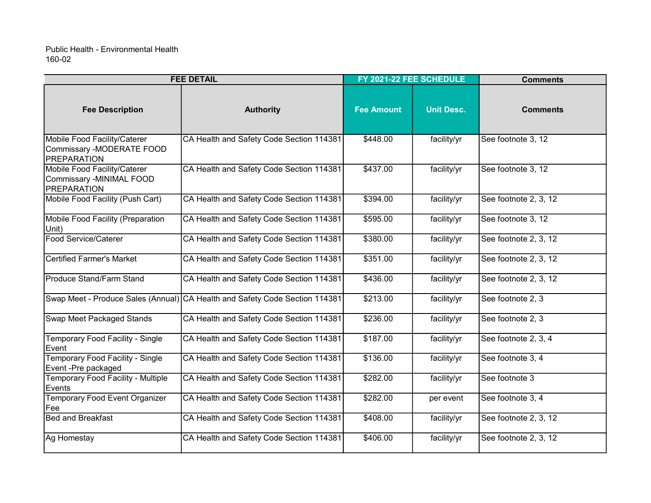| <b>FEE DETAIL</b>                                                               |                                                                             | FY 2021-22 FEE SCHEDULE |                   | <b>Comments</b>       |
|---------------------------------------------------------------------------------|-----------------------------------------------------------------------------|-------------------------|-------------------|-----------------------|
| <b>Fee Description</b>                                                          | <b>Authority</b>                                                            | <b>Fee Amount</b>       | <b>Unit Desc.</b> | <b>Comments</b>       |
| Mobile Food Facility/Caterer<br>Commissary -MODERATE FOOD<br><b>PREPARATION</b> | CA Health and Safety Code Section 114381                                    | \$448.00                | facility/yr       | See footnote 3, 12    |
| Mobile Food Facility/Caterer<br>Commissary -MINIMAL FOOD<br><b>PREPARATION</b>  | CA Health and Safety Code Section 114381                                    | \$437.00                | facility/yr       | See footnote 3, 12    |
| Mobile Food Facility (Push Cart)                                                | CA Health and Safety Code Section 114381                                    | \$394.00                | facility/yr       | See footnote 2, 3, 12 |
| Mobile Food Facility (Preparation<br>Unit)                                      | CA Health and Safety Code Section 114381                                    | \$595.00                | facility/yr       | See footnote 3, 12    |
| Food Service/Caterer                                                            | CA Health and Safety Code Section 114381                                    | \$380.00                | facility/yr       | See footnote 2, 3, 12 |
| Certified Farmer's Market                                                       | CA Health and Safety Code Section 114381                                    | \$351.00                | facility/yr       | See footnote 2, 3, 12 |
| <b>Produce Stand/Farm Stand</b>                                                 | CA Health and Safety Code Section 114381                                    | \$436.00                | facility/yr       | See footnote 2, 3, 12 |
|                                                                                 | Swap Meet - Produce Sales (Annual) CA Health and Safety Code Section 114381 | \$213.00                | facility/yr       | See footnote 2, 3     |
| Swap Meet Packaged Stands                                                       | CA Health and Safety Code Section 114381                                    | \$236.00                | facility/yr       | See footnote 2, 3     |
| Temporary Food Facility - Single<br>Event                                       | CA Health and Safety Code Section 114381                                    | \$187.00                | facility/yr       | See footnote 2, 3, 4  |
| Temporary Food Facility - Single<br>Event -Pre packaged                         | CA Health and Safety Code Section 114381                                    | \$136.00                | facility/yr       | See footnote 3, 4     |
| Temporary Food Facility - Multiple<br><b>Events</b>                             | CA Health and Safety Code Section 114381                                    | \$282.00                | facility/yr       | See footnote 3        |
| <b>Temporary Food Event Organizer</b><br>Fee                                    | CA Health and Safety Code Section 114381                                    | \$282.00                | per event         | See footnote 3, 4     |
| Bed and Breakfast                                                               | CA Health and Safety Code Section 114381                                    | \$408.00                | facility/yr       | See footnote 2, 3, 12 |
| Ag Homestay                                                                     | CA Health and Safety Code Section 114381                                    | \$406.00                | facility/yr       | See footnote 2, 3, 12 |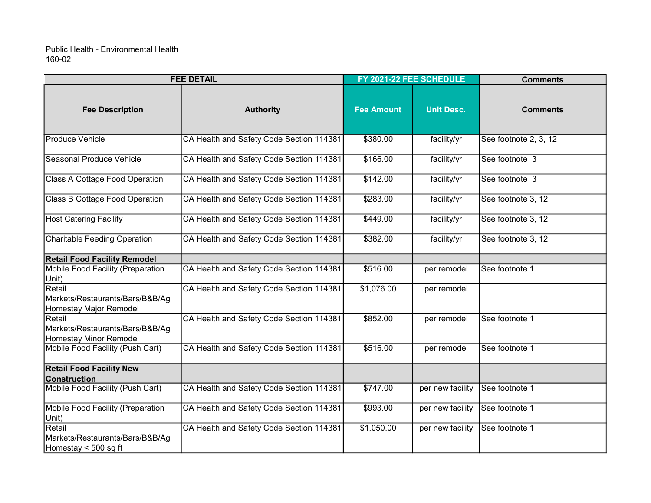| <b>FEE DETAIL</b>                                                          |                                          | FY 2021-22 FEE SCHEDULE |                   | <b>Comments</b>       |
|----------------------------------------------------------------------------|------------------------------------------|-------------------------|-------------------|-----------------------|
| <b>Fee Description</b>                                                     | <b>Authority</b>                         | <b>Fee Amount</b>       | <b>Unit Desc.</b> | <b>Comments</b>       |
| Produce Vehicle                                                            | CA Health and Safety Code Section 114381 | \$380.00                | facility/yr       | See footnote 2, 3, 12 |
| Seasonal Produce Vehicle                                                   | CA Health and Safety Code Section 114381 | \$166.00                | facility/yr       | See footnote 3        |
| Class A Cottage Food Operation                                             | CA Health and Safety Code Section 114381 | \$142.00                | facility/yr       | See footnote 3        |
| <b>Class B Cottage Food Operation</b>                                      | CA Health and Safety Code Section 114381 | \$283.00                | facility/yr       | See footnote 3, 12    |
| <b>Host Catering Facility</b>                                              | CA Health and Safety Code Section 114381 | \$449.00                | facility/yr       | See footnote 3, 12    |
| <b>Charitable Feeding Operation</b>                                        | CA Health and Safety Code Section 114381 | \$382.00                | facility/yr       | See footnote 3, 12    |
| <b>Retail Food Facility Remodel</b>                                        |                                          |                         |                   |                       |
| Mobile Food Facility (Preparation<br>Unit)                                 | CA Health and Safety Code Section 114381 | \$516.00                | per remodel       | See footnote 1        |
| Retail<br>Markets/Restaurants/Bars/B&B/Ag<br>Homestay Major Remodel        | CA Health and Safety Code Section 114381 | \$1,076.00              | per remodel       |                       |
| Retail<br>Markets/Restaurants/Bars/B&B/Ag<br><b>Homestay Minor Remodel</b> | CA Health and Safety Code Section 114381 | \$852.00                | per remodel       | See footnote 1        |
| Mobile Food Facility (Push Cart)                                           | CA Health and Safety Code Section 114381 | \$516.00                | per remodel       | See footnote 1        |
| <b>Retail Food Facility New</b><br><b>Construction</b>                     |                                          |                         |                   |                       |
| Mobile Food Facility (Push Cart)                                           | CA Health and Safety Code Section 114381 | \$747.00                | per new facility  | See footnote 1        |
| Mobile Food Facility (Preparation<br>Unit)                                 | CA Health and Safety Code Section 114381 | \$993.00                | per new facility  | See footnote 1        |
| Retail<br>Markets/Restaurants/Bars/B&B/Ag<br>Homestay < 500 sq ft          | CA Health and Safety Code Section 114381 | \$1,050.00              | per new facility  | See footnote 1        |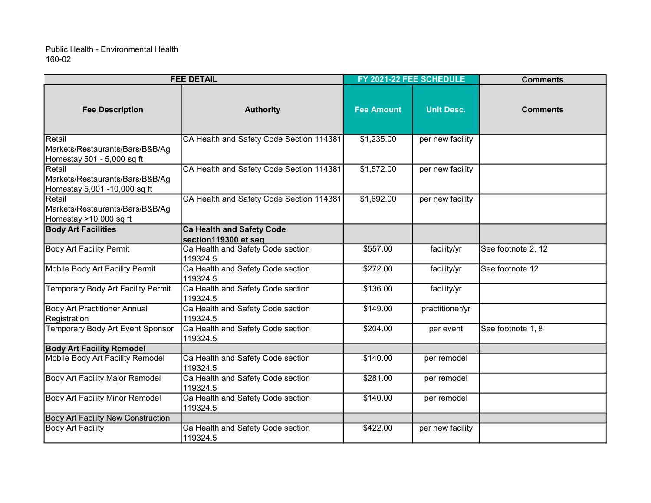| <b>FEE DETAIL</b>                                                         |                                                          |                   | FY 2021-22 FEE SCHEDULE | <b>Comments</b>    |  |
|---------------------------------------------------------------------------|----------------------------------------------------------|-------------------|-------------------------|--------------------|--|
| <b>Fee Description</b>                                                    | <b>Authority</b>                                         | <b>Fee Amount</b> | <b>Unit Desc.</b>       | <b>Comments</b>    |  |
| Retail<br>Markets/Restaurants/Bars/B&B/Ag<br>Homestay 501 - 5,000 sq ft   | CA Health and Safety Code Section 114381                 | \$1,235.00        | per new facility        |                    |  |
| Retail<br>Markets/Restaurants/Bars/B&B/Ag<br>Homestay 5,001 -10,000 sq ft | CA Health and Safety Code Section 114381                 | \$1,572.00        | per new facility        |                    |  |
| Retail<br>Markets/Restaurants/Bars/B&B/Ag<br>Homestay >10,000 sq ft       | CA Health and Safety Code Section 114381                 | \$1,692.00        | per new facility        |                    |  |
| <b>Body Art Facilities</b>                                                | <b>Ca Health and Safety Code</b><br>section119300 et seq |                   |                         |                    |  |
| <b>Body Art Facility Permit</b>                                           | Ca Health and Safety Code section<br>119324.5            | \$557.00          | facility/yr             | See footnote 2, 12 |  |
| Mobile Body Art Facility Permit                                           | Ca Health and Safety Code section<br>119324.5            | \$272.00          | facility/yr             | See footnote 12    |  |
| <b>Temporary Body Art Facility Permit</b>                                 | Ca Health and Safety Code section<br>119324.5            | \$136.00          | facility/yr             |                    |  |
| <b>Body Art Practitioner Annual</b><br>Registration                       | Ca Health and Safety Code section<br>119324.5            | \$149.00          | practitioner/yr         |                    |  |
| <b>Temporary Body Art Event Sponsor</b>                                   | Ca Health and Safety Code section<br>119324.5            | \$204.00          | per event               | See footnote 1, 8  |  |
| <b>Body Art Facility Remodel</b>                                          |                                                          |                   |                         |                    |  |
| Mobile Body Art Facility Remodel                                          | Ca Health and Safety Code section<br>119324.5            | \$140.00          | per remodel             |                    |  |
| <b>Body Art Facility Major Remodel</b>                                    | Ca Health and Safety Code section<br>119324.5            | \$281.00          | per remodel             |                    |  |
| <b>Body Art Facility Minor Remodel</b>                                    | Ca Health and Safety Code section<br>119324.5            | \$140.00          | per remodel             |                    |  |
| Body Art Facility New Construction                                        |                                                          |                   |                         |                    |  |
| Body Art Facility                                                         | Ca Health and Safety Code section<br>119324.5            | \$422.00          | per new facility        |                    |  |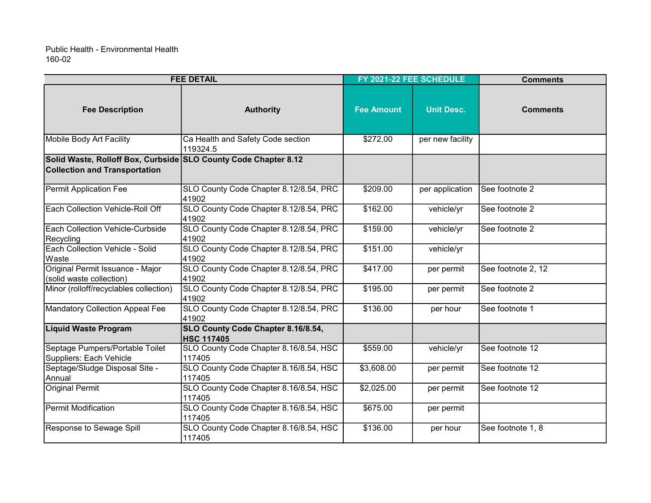| <b>FEE DETAIL</b>                                                                                       |                                                         | FY 2021-22 FEE SCHEDULE |                   | <b>Comments</b>    |
|---------------------------------------------------------------------------------------------------------|---------------------------------------------------------|-------------------------|-------------------|--------------------|
| <b>Fee Description</b>                                                                                  | <b>Authority</b>                                        | <b>Fee Amount</b>       | <b>Unit Desc.</b> | <b>Comments</b>    |
| Mobile Body Art Facility                                                                                | Ca Health and Safety Code section<br>119324.5           | \$272.00                | per new facility  |                    |
| Solid Waste, Rolloff Box, Curbside SLO County Code Chapter 8.12<br><b>Collection and Transportation</b> |                                                         |                         |                   |                    |
| Permit Application Fee                                                                                  | SLO County Code Chapter 8.12/8.54, PRC<br>41902         | \$209.00                | per application   | See footnote 2     |
| Each Collection Vehicle-Roll Off                                                                        | SLO County Code Chapter 8.12/8.54, PRC<br>41902         | \$162.00                | vehicle/yr        | See footnote 2     |
| Each Collection Vehicle-Curbside<br>Recycling                                                           | SLO County Code Chapter 8.12/8.54, PRC<br>41902         | \$159.00                | vehicle/yr        | See footnote 2     |
| Each Collection Vehicle - Solid<br><b>Waste</b>                                                         | SLO County Code Chapter 8.12/8.54, PRC<br>41902         | \$151.00                | vehicle/yr        |                    |
| Original Permit Issuance - Major<br>(solid waste collection)                                            | SLO County Code Chapter 8.12/8.54, PRC<br>41902         | \$417.00                | per permit        | See footnote 2, 12 |
| Minor (rolloff/recyclables collection)                                                                  | SLO County Code Chapter 8.12/8.54, PRC<br>41902         | \$195.00                | per permit        | See footnote 2     |
| <b>Mandatory Collection Appeal Fee</b>                                                                  | SLO County Code Chapter 8.12/8.54, PRC<br>41902         | \$136.00                | per hour          | See footnote 1     |
| <b>Liquid Waste Program</b>                                                                             | SLO County Code Chapter 8.16/8.54,<br><b>HSC 117405</b> |                         |                   |                    |
| Septage Pumpers/Portable Toilet<br>Suppliers: Each Vehicle                                              | SLO County Code Chapter 8.16/8.54, HSC<br>117405        | \$559.00                | vehicle/yr        | See footnote 12    |
| Septage/Sludge Disposal Site -<br>Annual                                                                | SLO County Code Chapter 8.16/8.54, HSC<br>117405        | \$3,608.00              | per permit        | See footnote 12    |
| <b>Original Permit</b>                                                                                  | SLO County Code Chapter 8.16/8.54, HSC<br>117405        | \$2,025.00              | per permit        | See footnote 12    |
| Permit Modification                                                                                     | SLO County Code Chapter 8.16/8.54, HSC<br>117405        | \$675.00                | per permit        |                    |
| Response to Sewage Spill                                                                                | SLO County Code Chapter 8.16/8.54, HSC<br>117405        | \$136.00                | per hour          | See footnote 1, 8  |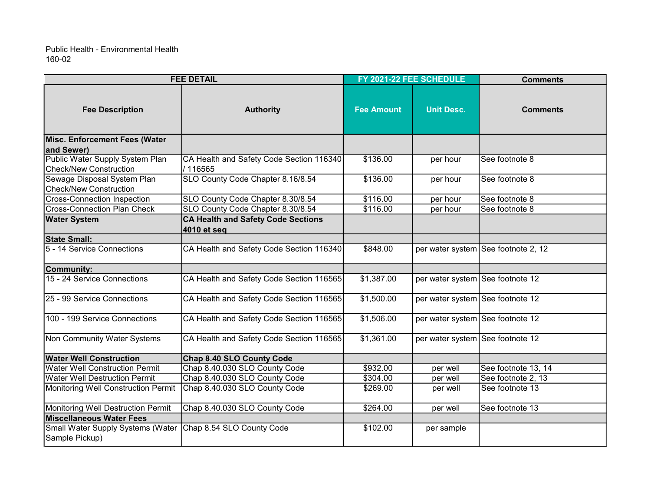| <b>FEE DETAIL</b>                                                |                                                          | FY 2021-22 FEE SCHEDULE |                                  | <b>Comments</b>                     |
|------------------------------------------------------------------|----------------------------------------------------------|-------------------------|----------------------------------|-------------------------------------|
| <b>Fee Description</b>                                           | <b>Authority</b>                                         | <b>Fee Amount</b>       | <b>Unit Desc.</b>                | <b>Comments</b>                     |
| Misc. Enforcement Fees (Water<br>and Sewer)                      |                                                          |                         |                                  |                                     |
| Public Water Supply System Plan<br><b>Check/New Construction</b> | CA Health and Safety Code Section 116340<br>/116565      | \$136.00                | per hour                         | See footnote 8                      |
| Sewage Disposal System Plan<br><b>Check/New Construction</b>     | SLO County Code Chapter 8.16/8.54                        | \$136.00                | per hour                         | See footnote 8                      |
| <b>Cross-Connection Inspection</b>                               | SLO County Code Chapter 8.30/8.54                        | \$116.00                | per hour                         | See footnote 8                      |
| <b>Cross-Connection Plan Check</b>                               | SLO County Code Chapter 8.30/8.54                        | \$116.00                | per hour                         | See footnote 8                      |
| <b>Water System</b>                                              | <b>CA Health and Safety Code Sections</b><br>4010 et seq |                         |                                  |                                     |
| <b>State Small:</b>                                              |                                                          |                         |                                  |                                     |
| 5 - 14 Service Connections                                       | CA Health and Safety Code Section 116340                 | \$848.00                |                                  | per water system See footnote 2, 12 |
| Community:                                                       |                                                          |                         |                                  |                                     |
| 15 - 24 Service Connections                                      | CA Health and Safety Code Section 116565                 | \$1,387.00              | per water system See footnote 12 |                                     |
| 25 - 99 Service Connections                                      | CA Health and Safety Code Section 116565                 | \$1,500.00              | per water system See footnote 12 |                                     |
| 100 - 199 Service Connections                                    | CA Health and Safety Code Section 116565                 | \$1,506.00              | per water system See footnote 12 |                                     |
| Non Community Water Systems                                      | CA Health and Safety Code Section 116565                 | \$1,361.00              | per water system See footnote 12 |                                     |
| <b>Water Well Construction</b>                                   | Chap 8.40 SLO County Code                                |                         |                                  |                                     |
| <b>Water Well Construction Permit</b>                            | Chap 8.40.030 SLO County Code                            | \$932.00                | per well                         | See footnote 13, 14                 |
| <b>Water Well Destruction Permit</b>                             | Chap 8.40.030 SLO County Code                            | \$304.00                | per well                         | See footnote 2, 13                  |
| Monitoring Well Construction Permit                              | Chap 8.40.030 SLO County Code                            | \$269.00                | per well                         | See footnote 13                     |
| Monitoring Well Destruction Permit                               | Chap 8.40.030 SLO County Code                            | \$264.00                | per well                         | See footnote 13                     |
| Miscellaneous Water Fees                                         |                                                          |                         |                                  |                                     |
| Small Water Supply Systems (Water<br>Sample Pickup)              | Chap 8.54 SLO County Code                                | \$102.00                | per sample                       |                                     |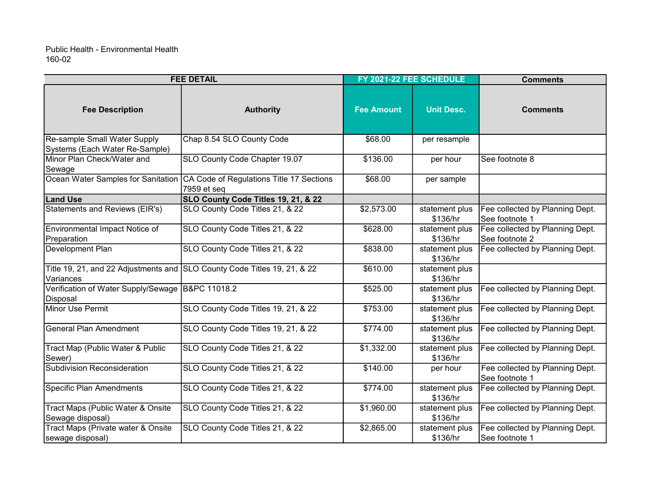| <b>FEE DETAIL</b>                                              |                                                                          | FY 2021-22 FEE SCHEDULE |                            | <b>Comments</b>                                   |  |
|----------------------------------------------------------------|--------------------------------------------------------------------------|-------------------------|----------------------------|---------------------------------------------------|--|
| <b>Fee Description</b>                                         | <b>Authority</b>                                                         | <b>Fee Amount</b>       | <b>Unit Desc.</b>          | <b>Comments</b>                                   |  |
| Re-sample Small Water Supply<br>Systems (Each Water Re-Sample) | Chap 8.54 SLO County Code                                                | \$68.00                 | per resample               |                                                   |  |
| Minor Plan Check/Water and<br>Sewage                           | SLO County Code Chapter 19.07                                            | \$136.00                | per hour                   | See footnote 8                                    |  |
| Ocean Water Samples for Sanitation                             | CA Code of Regulations Title 17 Sections<br>7959 et seq                  | \$68.00                 | per sample                 |                                                   |  |
| <b>Land Use</b>                                                | SLO County Code Titles 19, 21, & 22                                      |                         |                            |                                                   |  |
| <b>Statements and Reviews (EIR's)</b>                          | SLO County Code Titles 21, & 22                                          | \$2,573.00              | statement plus<br>\$136/hr | Fee collected by Planning Dept.<br>See footnote 1 |  |
| Environmental Impact Notice of<br>Preparation                  | SLO County Code Titles 21, & 22                                          | \$628.00                | statement plus<br>\$136/hr | Fee collected by Planning Dept.<br>See footnote 2 |  |
| Development Plan                                               | SLO County Code Titles 21, & 22                                          | \$838.00                | statement plus<br>\$136/hr | Fee collected by Planning Dept.                   |  |
| Variances                                                      | Title 19, 21, and 22 Adjustments and SLO County Code Titles 19, 21, & 22 | \$610.00                | statement plus<br>\$136/hr |                                                   |  |
| Verification of Water Supply/Sewage B&PC 11018.2<br>Disposal   |                                                                          | \$525.00                | statement plus<br>\$136/hr | Fee collected by Planning Dept.                   |  |
| Minor Use Permit                                               | SLO County Code Titles 19, 21, & 22                                      | \$753.00                | statement plus<br>\$136/hr | Fee collected by Planning Dept.                   |  |
| <b>General Plan Amendment</b>                                  | SLO County Code Titles 19, 21, & 22                                      | \$774.00                | statement plus<br>\$136/hr | Fee collected by Planning Dept.                   |  |
| Tract Map (Public Water & Public<br>Sewer)                     | SLO County Code Titles 21, & 22                                          | \$1,332.00              | statement plus<br>\$136/hr | Fee collected by Planning Dept.                   |  |
| <b>Subdivision Reconsideration</b>                             | SLO County Code Titles 21, & 22                                          | \$140.00                | per hour                   | Fee collected by Planning Dept.<br>See footnote 1 |  |
| <b>Specific Plan Amendments</b>                                | SLO County Code Titles 21, & 22                                          | \$774.00                | statement plus<br>\$136/hr | Fee collected by Planning Dept.                   |  |
| Tract Maps (Public Water & Onsite<br>Sewage disposal)          | SLO County Code Titles 21, & 22                                          | \$1,960.00              | statement plus<br>\$136/hr | Fee collected by Planning Dept.                   |  |
| Tract Maps (Private water & Onsite<br>sewage disposal)         | SLO County Code Titles 21, & 22                                          | \$2,865.00              | statement plus<br>\$136/hr | Fee collected by Planning Dept.<br>See footnote 1 |  |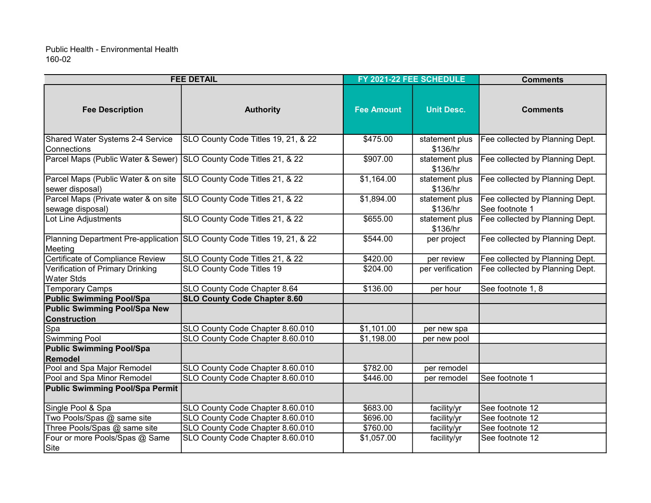| <b>FEE DETAIL</b>                                                  |                                                                         | FY 2021-22 FEE SCHEDULE |                            | <b>Comments</b>                                   |
|--------------------------------------------------------------------|-------------------------------------------------------------------------|-------------------------|----------------------------|---------------------------------------------------|
| <b>Fee Description</b>                                             | <b>Authority</b>                                                        | <b>Fee Amount</b>       | <b>Unit Desc.</b>          | <b>Comments</b>                                   |
| Shared Water Systems 2-4 Service<br> Connections                   | SLO County Code Titles 19, 21, & 22                                     | \$475.00                | statement plus<br>\$136/hr | Fee collected by Planning Dept.                   |
| Parcel Maps (Public Water & Sewer) SLO County Code Titles 21, & 22 |                                                                         | \$907.00                | statement plus<br>\$136/hr | Fee collected by Planning Dept.                   |
| Parcel Maps (Public Water & on site<br>sewer disposal)             | SLO County Code Titles 21, & 22                                         | \$1,164.00              | statement plus<br>\$136/hr | Fee collected by Planning Dept.                   |
| Parcel Maps (Private water & on site<br>sewage disposal)           | SLO County Code Titles 21, & 22                                         | \$1,894.00              | statement plus<br>\$136/hr | Fee collected by Planning Dept.<br>See footnote 1 |
| Lot Line Adjustments                                               | SLO County Code Titles 21, & 22                                         | \$655.00                | statement plus<br>\$136/hr | Fee collected by Planning Dept.                   |
| Meeting                                                            | Planning Department Pre-application SLO County Code Titles 19, 21, & 22 | \$544.00                | per project                | Fee collected by Planning Dept.                   |
| Certificate of Compliance Review                                   | SLO County Code Titles 21, & 22                                         | \$420.00                | per review                 | Fee collected by Planning Dept.                   |
| Verification of Primary Drinking<br><b>Water Stds</b>              | SLO County Code Titles 19                                               | \$204.00                | per verification           | Fee collected by Planning Dept.                   |
| <b>Temporary Camps</b>                                             | SLO County Code Chapter 8.64                                            | \$136.00                | per hour                   | See footnote 1, 8                                 |
| <b>Public Swimming Pool/Spa</b>                                    | <b>SLO County Code Chapter 8.60</b>                                     |                         |                            |                                                   |
| Public Swimming Pool/Spa New<br><b>Construction</b>                |                                                                         |                         |                            |                                                   |
| Spa                                                                | SLO County Code Chapter 8.60.010                                        | \$1,101.00              | per new spa                |                                                   |
| <b>Swimming Pool</b>                                               | SLO County Code Chapter 8.60.010                                        | \$1,198.00              | per new pool               |                                                   |
| <b>Public Swimming Pool/Spa</b><br>Remodel                         |                                                                         |                         |                            |                                                   |
| Pool and Spa Major Remodel                                         | SLO County Code Chapter 8.60.010                                        | \$782.00                | per remodel                |                                                   |
| Pool and Spa Minor Remodel                                         | SLO County Code Chapter 8.60.010                                        | \$446.00                | per remodel                | See footnote 1                                    |
| Public Swimming Pool/Spa Permit                                    |                                                                         |                         |                            |                                                   |
| Single Pool & Spa                                                  | SLO County Code Chapter 8.60.010                                        | \$683.00                | facility/yr                | See footnote 12                                   |
| Two Pools/Spas @ same site                                         | SLO County Code Chapter 8.60.010                                        | \$696.00                | facility/yr                | See footnote 12                                   |
| Three Pools/Spas @ same site                                       | SLO County Code Chapter 8.60.010                                        | \$760.00                | facility/yr                | See footnote 12                                   |
| Four or more Pools/Spas @ Same<br>Site                             | SLO County Code Chapter 8.60.010                                        | \$1,057.00              | facility/yr                | See footnote 12                                   |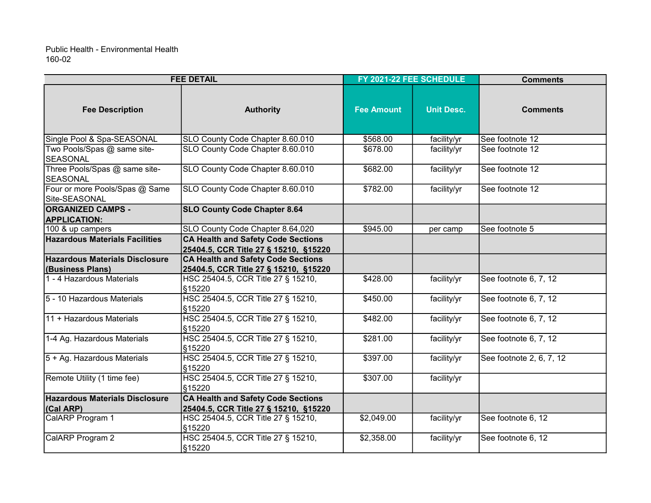| <b>FEE DETAIL</b>                                |                                                                                    | FY 2021-22 FEE SCHEDULE |                   | <b>Comments</b>          |  |
|--------------------------------------------------|------------------------------------------------------------------------------------|-------------------------|-------------------|--------------------------|--|
| <b>Fee Description</b>                           | <b>Authority</b>                                                                   | <b>Fee Amount</b>       | <b>Unit Desc.</b> | <b>Comments</b>          |  |
| Single Pool & Spa-SEASONAL                       | SLO County Code Chapter 8.60.010                                                   | \$568.00                | facility/yr       | See footnote 12          |  |
| Two Pools/Spas @ same site-<br><b>SEASONAL</b>   | SLO County Code Chapter 8.60.010                                                   | \$678.00                | facility/yr       | See footnote 12          |  |
| Three Pools/Spas @ same site-<br><b>SEASONAL</b> | SLO County Code Chapter 8.60.010                                                   | \$682.00                | facility/yr       | See footnote 12          |  |
| Four or more Pools/Spas @ Same<br>Site-SEASONAL  | SLO County Code Chapter 8.60.010                                                   | \$782.00                | facility/yr       | See footnote 12          |  |
| <b>ORGANIZED CAMPS -</b><br><b>APPLICATION:</b>  | <b>SLO County Code Chapter 8.64</b>                                                |                         |                   |                          |  |
| 100 & up campers                                 | SLO County Code Chapter 8.64,020                                                   | \$945.00                | per camp          | See footnote 5           |  |
| <b>Hazardous Materials Facilities</b>            | <b>CA Health and Safety Code Sections</b><br>25404.5, CCR Title 27 § 15210, §15220 |                         |                   |                          |  |
| <b>Hazardous Materials Disclosure</b>            | <b>CA Health and Safety Code Sections</b>                                          |                         |                   |                          |  |
| (Business Plans)                                 | 25404.5, CCR Title 27 § 15210, §15220                                              |                         |                   |                          |  |
| 1 - 4 Hazardous Materials                        | HSC 25404.5, CCR Title 27 § 15210,<br>§15220                                       | \$428.00                | facility/yr       | See footnote 6, 7, 12    |  |
| 5 - 10 Hazardous Materials                       | HSC 25404.5, CCR Title 27 § 15210,<br>§15220                                       | \$450.00                | facility/yr       | See footnote 6, 7, 12    |  |
| 11 + Hazardous Materials                         | HSC 25404.5, CCR Title 27 § 15210,<br>§15220                                       | \$482.00                | facility/yr       | See footnote 6, 7, 12    |  |
| 1-4 Ag. Hazardous Materials                      | HSC 25404.5, CCR Title 27 § 15210,<br>§15220                                       | \$281.00                | facility/yr       | See footnote 6, 7, 12    |  |
| 5 + Ag. Hazardous Materials                      | HSC 25404.5, CCR Title 27 § 15210,<br>§15220                                       | \$397.00                | facility/yr       | See footnote 2, 6, 7, 12 |  |
| Remote Utility (1 time fee)                      | HSC 25404.5, CCR Title 27 § 15210,<br>§15220                                       | \$307.00                | facility/yr       |                          |  |
| Hazardous Materials Disclosure                   | <b>CA Health and Safety Code Sections</b>                                          |                         |                   |                          |  |
| (Cal ARP)                                        | 25404.5, CCR Title 27 § 15210, §15220                                              |                         |                   |                          |  |
| CalARP Program 1                                 | HSC 25404.5, CCR Title 27 § 15210,<br>§15220                                       | \$2,049.00              | facility/yr       | See footnote 6, 12       |  |
| CalARP Program 2                                 | HSC 25404.5, CCR Title 27 § 15210,<br>§15220                                       | \$2,358.00              | facility/yr       | See footnote 6, 12       |  |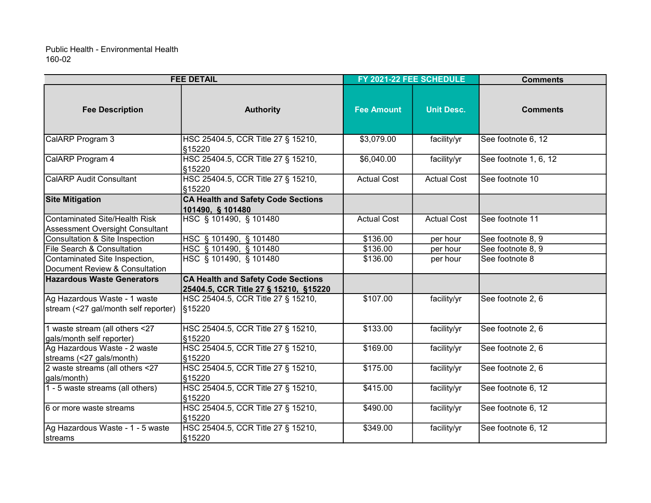| <b>FEE DETAIL</b>                                                       |                                                                                    | FY 2021-22 FEE SCHEDULE |                    | <b>Comments</b>       |  |
|-------------------------------------------------------------------------|------------------------------------------------------------------------------------|-------------------------|--------------------|-----------------------|--|
| <b>Fee Description</b>                                                  | <b>Authority</b>                                                                   | <b>Fee Amount</b>       | <b>Unit Desc.</b>  | <b>Comments</b>       |  |
| CalARP Program 3                                                        | HSC 25404.5, CCR Title 27 § 15210,<br>§15220                                       | \$3,079.00              | facility/yr        | See footnote 6, 12    |  |
| CalARP Program 4                                                        | HSC 25404.5, CCR Title 27 § 15210,<br>§15220                                       | \$6,040.00              | facility/yr        | See footnote 1, 6, 12 |  |
| <b>CalARP Audit Consultant</b>                                          | HSC 25404.5, CCR Title 27 § 15210,<br>§15220                                       | <b>Actual Cost</b>      | <b>Actual Cost</b> | See footnote 10       |  |
| <b>Site Mitigation</b>                                                  | <b>CA Health and Safety Code Sections</b><br>101490, § 101480                      |                         |                    |                       |  |
| <b>Contaminated Site/Health Risk</b><br>Assessment Oversight Consultant | HSC § 101490, § 101480                                                             | <b>Actual Cost</b>      | <b>Actual Cost</b> | See footnote 11       |  |
| Consultation & Site Inspection                                          | HSC § 101490, § 101480                                                             | \$136.00                | per hour           | See footnote 8, 9     |  |
| File Search & Consultation                                              | HSC § 101490, § 101480                                                             | \$136.00                | per hour           | See footnote 8, 9     |  |
| Contaminated Site Inspection,<br>Document Review & Consultation         | HSC § 101490, § 101480                                                             | \$136.00                | per hour           | See footnote 8        |  |
| <b>Hazardous Waste Generators</b>                                       | <b>CA Health and Safety Code Sections</b><br>25404.5, CCR Title 27 § 15210, §15220 |                         |                    |                       |  |
| Ag Hazardous Waste - 1 waste<br>stream (<27 gal/month self reporter)    | HSC 25404.5, CCR Title 27 § 15210,<br>§15220                                       | \$107.00                | facility/yr        | See footnote 2, 6     |  |
| 1 waste stream (all others <27<br>gals/month self reporter)             | HSC 25404.5, CCR Title 27 § 15210,<br>§15220                                       | \$133.00                | facility/yr        | See footnote 2, 6     |  |
| Ag Hazardous Waste - 2 waste<br>streams (<27 gals/month)                | HSC 25404.5, CCR Title 27 § 15210,<br>§15220                                       | \$169.00                | facility/yr        | See footnote 2, 6     |  |
| 2 waste streams (all others <27<br>gals/month)                          | HSC 25404.5, CCR Title 27 § 15210,<br>§15220                                       | \$175.00                | facility/yr        | See footnote 2, 6     |  |
| 1 - 5 waste streams (all others)                                        | HSC 25404.5, CCR Title 27 § 15210,<br>§15220                                       | \$415.00                | facility/yr        | See footnote 6, 12    |  |
| 6 or more waste streams                                                 | HSC 25404.5, CCR Title 27 § 15210,<br>§15220                                       | \$490.00                | facility/yr        | See footnote 6, 12    |  |
| Ag Hazardous Waste - 1 - 5 waste<br>streams                             | HSC 25404.5, CCR Title 27 § 15210,<br>S15220                                       | \$349.00                | facility/yr        | See footnote 6, 12    |  |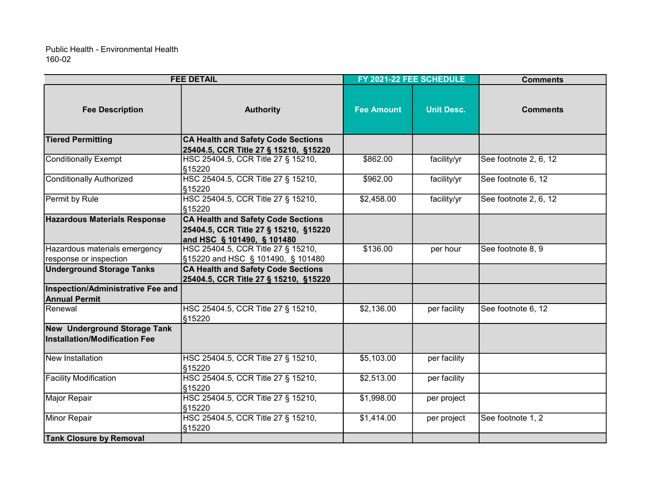|                                                                      | <b>FEE DETAIL</b>                                                                                                | FY 2021-22 FEE SCHEDULE |                   | <b>Comments</b>       |
|----------------------------------------------------------------------|------------------------------------------------------------------------------------------------------------------|-------------------------|-------------------|-----------------------|
| <b>Fee Description</b>                                               | <b>Authority</b>                                                                                                 | <b>Fee Amount</b>       | <b>Unit Desc.</b> | <b>Comments</b>       |
| <b>Tiered Permitting</b>                                             | <b>CA Health and Safety Code Sections</b><br>25404.5, CCR Title 27 § 15210, §15220                               |                         |                   |                       |
| <b>Conditionally Exempt</b>                                          | HSC 25404.5, CCR Title 27 § 15210,<br>§15220                                                                     | \$862.00                | facility/yr       | See footnote 2, 6, 12 |
| <b>Conditionally Authorized</b>                                      | HSC 25404.5, CCR Title 27 § 15210,<br>§15220                                                                     | \$962.00                | facility/yr       | See footnote 6, 12    |
| Permit by Rule                                                       | HSC 25404.5, CCR Title 27 § 15210,<br>§15220                                                                     | \$2,458.00              | facility/yr       | See footnote 2, 6, 12 |
| <b>Hazardous Materials Response</b>                                  | <b>CA Health and Safety Code Sections</b><br>25404.5, CCR Title 27 § 15210, §15220<br>and HSC § 101490, § 101480 |                         |                   |                       |
| Hazardous materials emergency<br>response or inspection              | HSC 25404.5, CCR Title 27 § 15210,<br>§15220 and HSC § 101490, § 101480                                          | \$136.00                | per hour          | See footnote 8, 9     |
| <b>Underground Storage Tanks</b>                                     | <b>CA Health and Safety Code Sections</b><br>25404.5, CCR Title 27 § 15210, §15220                               |                         |                   |                       |
| Inspection/Administrative Fee and<br><b>Annual Permit</b>            |                                                                                                                  |                         |                   |                       |
| Renewal                                                              | HSC 25404.5, CCR Title 27 § 15210,<br>§15220                                                                     | \$2,136.00              | per facility      | See footnote 6, 12    |
| New Underground Storage Tank<br><b>Installation/Modification Fee</b> |                                                                                                                  |                         |                   |                       |
| New Installation                                                     | HSC 25404.5, CCR Title 27 § 15210,<br>§15220                                                                     | \$5,103.00              | per facility      |                       |
| <b>Facility Modification</b>                                         | HSC 25404.5, CCR Title 27 § 15210,<br>§15220                                                                     | \$2,513.00              | per facility      |                       |
| Major Repair                                                         | HSC 25404.5, CCR Title 27 § 15210,<br>§15220                                                                     | \$1,998.00              | per project       |                       |
| Minor Repair                                                         | HSC 25404.5, CCR Title 27 § 15210,<br>§15220                                                                     | \$1,414.00              | per project       | See footnote 1, 2     |
| <b>Tank Closure by Removal</b>                                       |                                                                                                                  |                         |                   |                       |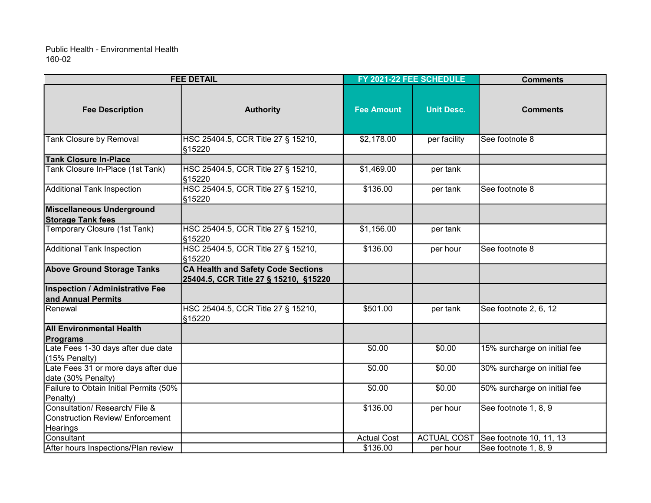| <b>FEE DETAIL</b>                                     |                                                                                    | FY 2021-22 FEE SCHEDULE |                    | <b>Comments</b>              |
|-------------------------------------------------------|------------------------------------------------------------------------------------|-------------------------|--------------------|------------------------------|
| <b>Fee Description</b>                                | <b>Authority</b>                                                                   | <b>Fee Amount</b>       | <b>Unit Desc.</b>  | <b>Comments</b>              |
| <b>Tank Closure by Removal</b>                        | HSC 25404.5, CCR Title 27 § 15210,<br>§15220                                       | \$2,178.00              | per facility       | See footnote 8               |
| <b>Tank Closure In-Place</b>                          |                                                                                    |                         |                    |                              |
| Tank Closure In-Place (1st Tank)                      | HSC 25404.5, CCR Title 27 § 15210,<br>§15220                                       | \$1,469.00              | per tank           |                              |
| <b>Additional Tank Inspection</b>                     | HSC 25404.5, CCR Title 27 § 15210,<br>§15220                                       | \$136.00                | per tank           | See footnote 8               |
| Miscellaneous Underground<br><b>Storage Tank fees</b> |                                                                                    |                         |                    |                              |
| Temporary Closure (1st Tank)                          | HSC 25404.5, CCR Title 27 § 15210,<br>§15220                                       | \$1,156.00              | per tank           |                              |
| <b>Additional Tank Inspection</b>                     | HSC 25404.5, CCR Title 27 § 15210,<br>§15220                                       | \$136.00                | per hour           | See footnote 8               |
| <b>Above Ground Storage Tanks</b>                     | <b>CA Health and Safety Code Sections</b><br>25404.5, CCR Title 27 § 15210, §15220 |                         |                    |                              |
| Inspection / Administrative Fee                       |                                                                                    |                         |                    |                              |
| and Annual Permits                                    |                                                                                    |                         |                    |                              |
| lRenewal                                              | HSC 25404.5, CCR Title 27 § 15210,<br>§15220                                       | \$501.00                | per tank           | See footnote 2, 6, 12        |
| <b>All Environmental Health</b>                       |                                                                                    |                         |                    |                              |
| Programs                                              |                                                                                    |                         |                    |                              |
| Late Fees 1-30 days after due date                    |                                                                                    | \$0.00                  | \$0.00             | 15% surcharge on initial fee |
| (15% Penalty)                                         |                                                                                    |                         |                    |                              |
| Late Fees 31 or more days after due                   |                                                                                    | \$0.00                  | \$0.00             | 30% surcharge on initial fee |
| date (30% Penalty)                                    |                                                                                    |                         |                    |                              |
| Failure to Obtain Initial Permits (50%                |                                                                                    | \$0.00                  | \$0.00             | 50% surcharge on initial fee |
| Penalty)                                              |                                                                                    |                         |                    |                              |
| Consultation/ Research/ File &                        |                                                                                    | \$136.00                | per hour           | See footnote 1, 8, 9         |
| Construction Review/ Enforcement                      |                                                                                    |                         |                    |                              |
| Hearings<br>Consultant                                |                                                                                    | <b>Actual Cost</b>      | <b>ACTUAL COST</b> | See footnote 10, 11, 13      |
| After hours Inspections/Plan review                   |                                                                                    | \$136.00                | per hour           | See footnote 1, 8, 9         |
|                                                       |                                                                                    |                         |                    |                              |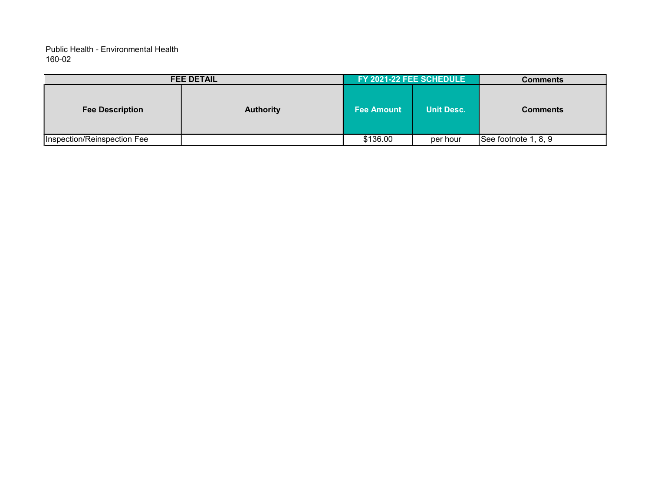| <b>FEE DETAIL</b>           |                  | FY 2021-22 FEE SCHEDULE |                   | <b>Comments</b>      |
|-----------------------------|------------------|-------------------------|-------------------|----------------------|
| <b>Fee Description</b>      | <b>Authority</b> | Fee Amount              | <b>Unit Desc.</b> | <b>Comments</b>      |
| Inspection/Reinspection Fee |                  | \$136.00                | per hour          | See footnote 1, 8, 9 |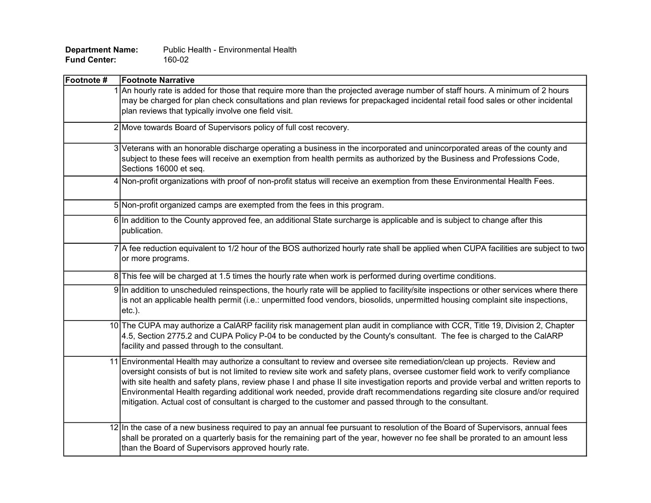| <b>Department Name:</b> | Public Health - Environmental Health |
|-------------------------|--------------------------------------|
| <b>Fund Center:</b>     | 160-02                               |

| Footnote # | <b>Footnote Narrative</b>                                                                                                                                                                                                                                                                                                                                                                                                                                                                                                                                                                                                                  |
|------------|--------------------------------------------------------------------------------------------------------------------------------------------------------------------------------------------------------------------------------------------------------------------------------------------------------------------------------------------------------------------------------------------------------------------------------------------------------------------------------------------------------------------------------------------------------------------------------------------------------------------------------------------|
|            | 1 An hourly rate is added for those that require more than the projected average number of staff hours. A minimum of 2 hours<br>may be charged for plan check consultations and plan reviews for prepackaged incidental retail food sales or other incidental<br>plan reviews that typically involve one field visit.                                                                                                                                                                                                                                                                                                                      |
|            | 2 Move towards Board of Supervisors policy of full cost recovery.                                                                                                                                                                                                                                                                                                                                                                                                                                                                                                                                                                          |
|            | 3 Veterans with an honorable discharge operating a business in the incorporated and unincorporated areas of the county and<br>subject to these fees will receive an exemption from health permits as authorized by the Business and Professions Code,<br>Sections 16000 et seq.                                                                                                                                                                                                                                                                                                                                                            |
|            | 4 Non-profit organizations with proof of non-profit status will receive an exemption from these Environmental Health Fees.                                                                                                                                                                                                                                                                                                                                                                                                                                                                                                                 |
|            | 5 Non-profit organized camps are exempted from the fees in this program.                                                                                                                                                                                                                                                                                                                                                                                                                                                                                                                                                                   |
|            | 6 In addition to the County approved fee, an additional State surcharge is applicable and is subject to change after this<br>publication.                                                                                                                                                                                                                                                                                                                                                                                                                                                                                                  |
|            | 7 A fee reduction equivalent to 1/2 hour of the BOS authorized hourly rate shall be applied when CUPA facilities are subject to two<br>or more programs.                                                                                                                                                                                                                                                                                                                                                                                                                                                                                   |
|            | 8 This fee will be charged at 1.5 times the hourly rate when work is performed during overtime conditions.                                                                                                                                                                                                                                                                                                                                                                                                                                                                                                                                 |
|            | 9 In addition to unscheduled reinspections, the hourly rate will be applied to facility/site inspections or other services where there<br>is not an applicable health permit (i.e.: unpermitted food vendors, biosolids, unpermitted housing complaint site inspections,<br>$etc.$ ).                                                                                                                                                                                                                                                                                                                                                      |
|            | 10 The CUPA may authorize a CalARP facility risk management plan audit in compliance with CCR, Title 19, Division 2, Chapter<br>4.5, Section 2775.2 and CUPA Policy P-04 to be conducted by the County's consultant. The fee is charged to the CalARP<br>facility and passed through to the consultant.                                                                                                                                                                                                                                                                                                                                    |
|            | 11 Environmental Health may authorize a consultant to review and oversee site remediation/clean up projects. Review and<br>oversight consists of but is not limited to review site work and safety plans, oversee customer field work to verify compliance<br>with site health and safety plans, review phase I and phase II site investigation reports and provide verbal and written reports to<br>Environmental Health regarding additional work needed, provide draft recommendations regarding site closure and/or required<br>mitigation. Actual cost of consultant is charged to the customer and passed through to the consultant. |
|            | 12 In the case of a new business required to pay an annual fee pursuant to resolution of the Board of Supervisors, annual fees<br>shall be prorated on a quarterly basis for the remaining part of the year, however no fee shall be prorated to an amount less<br>than the Board of Supervisors approved hourly rate.                                                                                                                                                                                                                                                                                                                     |